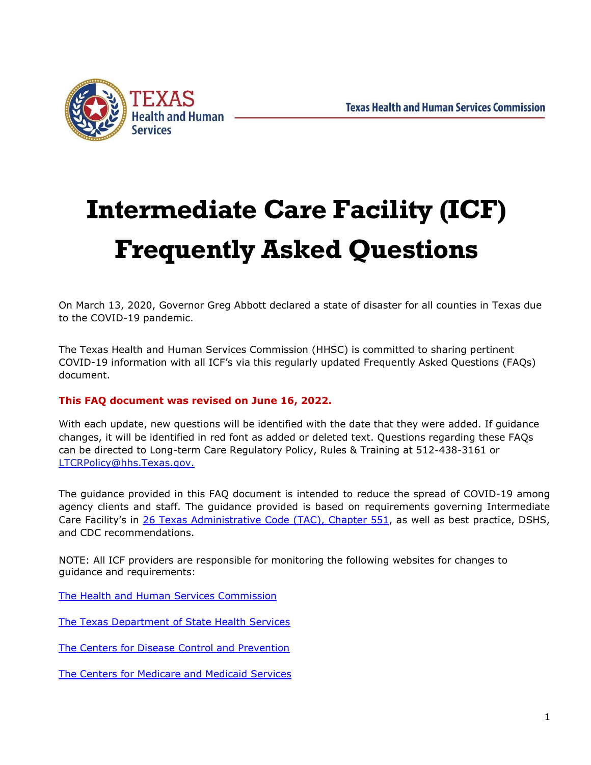

# **Intermediate Care Facility (ICF) Frequently Asked Questions**

On March 13, 2020, Governor Greg Abbott declared a state of disaster for all counties in Texas due to the COVID-19 pandemic.

The Texas Health and Human Services Commission (HHSC) is committed to sharing pertinent COVID-19 information with all ICF's via this regularly updated Frequently Asked Questions (FAQs) document.

#### **This FAQ document was revised on June 16, 2022.**

With each update, new questions will be identified with the date that they were added. If guidance changes, it will be identified in red font as added or deleted text. Questions regarding these FAQs can be directed to Long-term Care Regulatory Policy, Rules & Training at 512-438-3161 or [LTCRPolicy@hhs.Texas.gov.](mailto:LTCRPolicy@hhs.Texas.gov.)

The guidance provided in this FAQ document is intended to reduce the spread of COVID-19 among agency clients and staff. The guidance provided is based on requirements governing Intermediate Care Facility's in 26 [Texas Administrative Code \(TAC\), Chapter 551, a](https://texreg.sos.state.tx.us/public/readtac%24ext.ViewTAC?tac_view=4&ti=26&pt=1&ch=551)s well as best practice, DSHS, and CDC recommendations.

NOTE: All ICF providers are responsible for monitoring the following websites for changes to guidance and requirements:

[The Health and Human Services Commission](https://hhs.texas.gov/services/health/coronavirus-covid-19)

[The Texas Department of State Health Services](https://www.dshs.texas.gov/coronavirus/)

[The Centers for Disease Control and Prevention](https://www.cdc.gov/coronavirus/2019-nCoV/index.html)

[The Centers for Medicare and Medicaid Services](https://www.cms.gov/About-CMS/Agency-Information/Emergency/EPRO/Current-Emergencies/Current-Emergencies-page)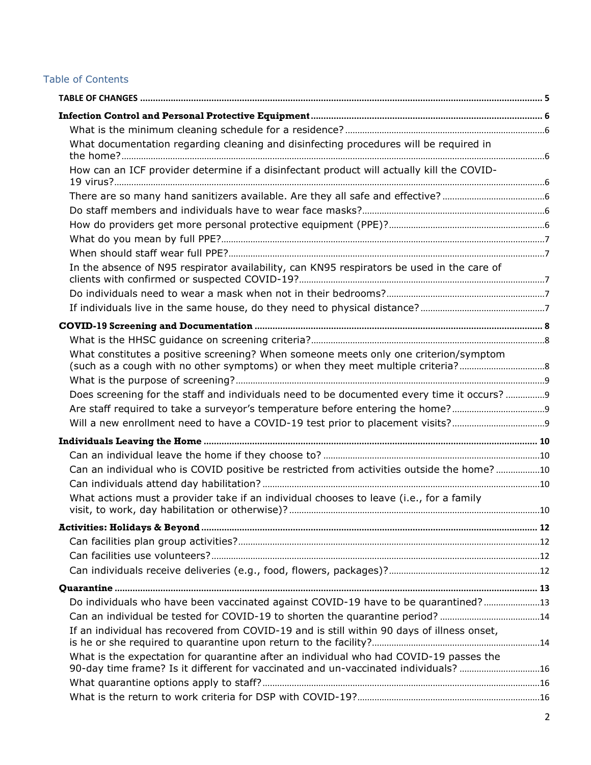#### Table of Contents

| What documentation regarding cleaning and disinfecting procedures will be required in                                                                                         |  |
|-------------------------------------------------------------------------------------------------------------------------------------------------------------------------------|--|
| How can an ICF provider determine if a disinfectant product will actually kill the COVID-                                                                                     |  |
|                                                                                                                                                                               |  |
|                                                                                                                                                                               |  |
|                                                                                                                                                                               |  |
|                                                                                                                                                                               |  |
|                                                                                                                                                                               |  |
| In the absence of N95 respirator availability, can KN95 respirators be used in the care of                                                                                    |  |
|                                                                                                                                                                               |  |
|                                                                                                                                                                               |  |
|                                                                                                                                                                               |  |
|                                                                                                                                                                               |  |
| What constitutes a positive screening? When someone meets only one criterion/symptom                                                                                          |  |
|                                                                                                                                                                               |  |
| Does screening for the staff and individuals need to be documented every time it occurs?  9                                                                                   |  |
| Are staff required to take a surveyor's temperature before entering the home?                                                                                                 |  |
|                                                                                                                                                                               |  |
|                                                                                                                                                                               |  |
|                                                                                                                                                                               |  |
| Can an individual who is COVID positive be restricted from activities outside the home? 10                                                                                    |  |
|                                                                                                                                                                               |  |
| What actions must a provider take if an individual chooses to leave (i.e., for a family                                                                                       |  |
|                                                                                                                                                                               |  |
|                                                                                                                                                                               |  |
|                                                                                                                                                                               |  |
|                                                                                                                                                                               |  |
|                                                                                                                                                                               |  |
| Do individuals who have been vaccinated against COVID-19 have to be quarantined?13                                                                                            |  |
| Can an individual be tested for COVID-19 to shorten the quarantine period? 14                                                                                                 |  |
| If an individual has recovered from COVID-19 and is still within 90 days of illness onset,                                                                                    |  |
| What is the expectation for quarantine after an individual who had COVID-19 passes the<br>90-day time frame? Is it different for vaccinated and un-vaccinated individuals? 16 |  |
|                                                                                                                                                                               |  |
|                                                                                                                                                                               |  |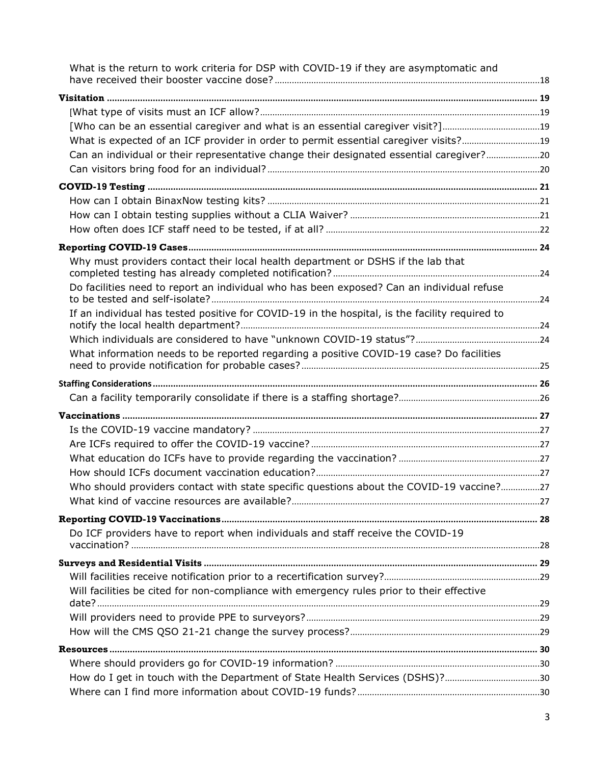| What is the return to work criteria for DSP with COVID-19 if they are asymptomatic and         |  |
|------------------------------------------------------------------------------------------------|--|
|                                                                                                |  |
|                                                                                                |  |
|                                                                                                |  |
| What is expected of an ICF provider in order to permit essential caregiver visits?19           |  |
| Can an individual or their representative change their designated essential caregiver?20       |  |
|                                                                                                |  |
|                                                                                                |  |
|                                                                                                |  |
|                                                                                                |  |
|                                                                                                |  |
|                                                                                                |  |
| Why must providers contact their local health department or DSHS if the lab that               |  |
| Do facilities need to report an individual who has been exposed? Can an individual refuse      |  |
| If an individual has tested positive for COVID-19 in the hospital, is the facility required to |  |
|                                                                                                |  |
| What information needs to be reported regarding a positive COVID-19 case? Do facilities        |  |
|                                                                                                |  |
|                                                                                                |  |
|                                                                                                |  |
|                                                                                                |  |
|                                                                                                |  |
|                                                                                                |  |
|                                                                                                |  |
| Who should providers contact with state specific questions about the COVID-19 vaccine?27       |  |
|                                                                                                |  |
|                                                                                                |  |
| Do ICF providers have to report when individuals and staff receive the COVID-19                |  |
|                                                                                                |  |
|                                                                                                |  |
| Will facilities be cited for non-compliance with emergency rules prior to their effective      |  |
|                                                                                                |  |
|                                                                                                |  |
|                                                                                                |  |
|                                                                                                |  |
| How do I get in touch with the Department of State Health Services (DSHS)?30                   |  |
|                                                                                                |  |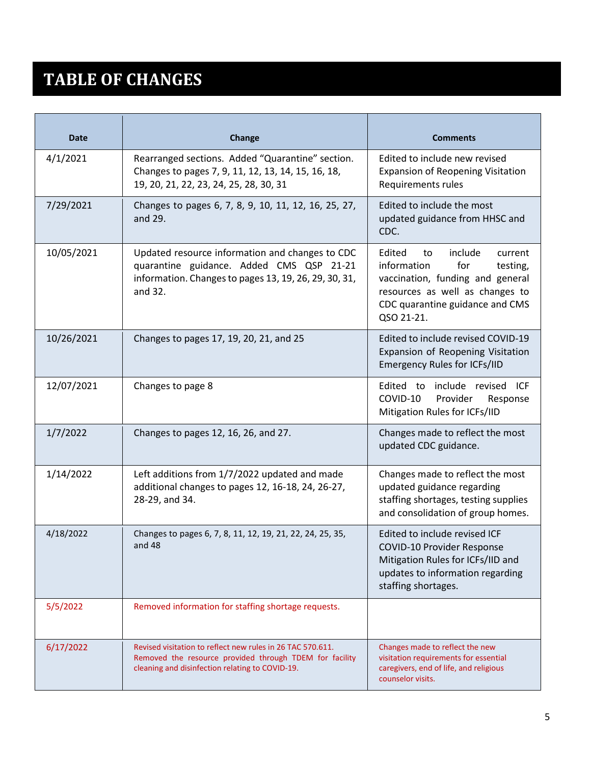### <span id="page-4-0"></span>**TABLE OF CHANGES**

| <b>Date</b> | <b>Change</b>                                                                                                                                                            | <b>Comments</b>                                                                                                                                                                              |
|-------------|--------------------------------------------------------------------------------------------------------------------------------------------------------------------------|----------------------------------------------------------------------------------------------------------------------------------------------------------------------------------------------|
| 4/1/2021    | Rearranged sections. Added "Quarantine" section.<br>Changes to pages 7, 9, 11, 12, 13, 14, 15, 16, 18,<br>19, 20, 21, 22, 23, 24, 25, 28, 30, 31                         | Edited to include new revised<br><b>Expansion of Reopening Visitation</b><br>Requirements rules                                                                                              |
| 7/29/2021   | Changes to pages 6, 7, 8, 9, 10, 11, 12, 16, 25, 27,<br>and 29.                                                                                                          | Edited to include the most<br>updated guidance from HHSC and<br>CDC.                                                                                                                         |
| 10/05/2021  | Updated resource information and changes to CDC<br>quarantine guidance. Added CMS QSP 21-21<br>information. Changes to pages 13, 19, 26, 29, 30, 31,<br>and 32.          | Edited<br>include<br>to<br>current<br>information<br>for<br>testing,<br>vaccination, funding and general<br>resources as well as changes to<br>CDC quarantine guidance and CMS<br>QSO 21-21. |
| 10/26/2021  | Changes to pages 17, 19, 20, 21, and 25                                                                                                                                  | Edited to include revised COVID-19<br>Expansion of Reopening Visitation<br><b>Emergency Rules for ICFs/IID</b>                                                                               |
| 12/07/2021  | Changes to page 8                                                                                                                                                        | Edited to include revised ICF<br>Provider<br>COVID-10<br>Response<br>Mitigation Rules for ICFs/IID                                                                                           |
| 1/7/2022    | Changes to pages 12, 16, 26, and 27.                                                                                                                                     | Changes made to reflect the most<br>updated CDC guidance.                                                                                                                                    |
| 1/14/2022   | Left additions from 1/7/2022 updated and made<br>additional changes to pages 12, 16-18, 24, 26-27,<br>28-29, and 34.                                                     | Changes made to reflect the most<br>updated guidance regarding<br>staffing shortages, testing supplies<br>and consolidation of group homes.                                                  |
| 4/18/2022   | Changes to pages 6, 7, 8, 11, 12, 19, 21, 22, 24, 25, 35,<br>and 48                                                                                                      | Edited to include revised ICF<br><b>COVID-10 Provider Response</b><br>Mitigation Rules for ICFs/IID and<br>updates to information regarding<br>staffing shortages.                           |
| 5/5/2022    | Removed information for staffing shortage requests.                                                                                                                      |                                                                                                                                                                                              |
| 6/17/2022   | Revised visitation to reflect new rules in 26 TAC 570.611.<br>Removed the resource provided through TDEM for facility<br>cleaning and disinfection relating to COVID-19. | Changes made to reflect the new<br>visitation requirements for essential<br>caregivers, end of life, and religious<br>counselor visits.                                                      |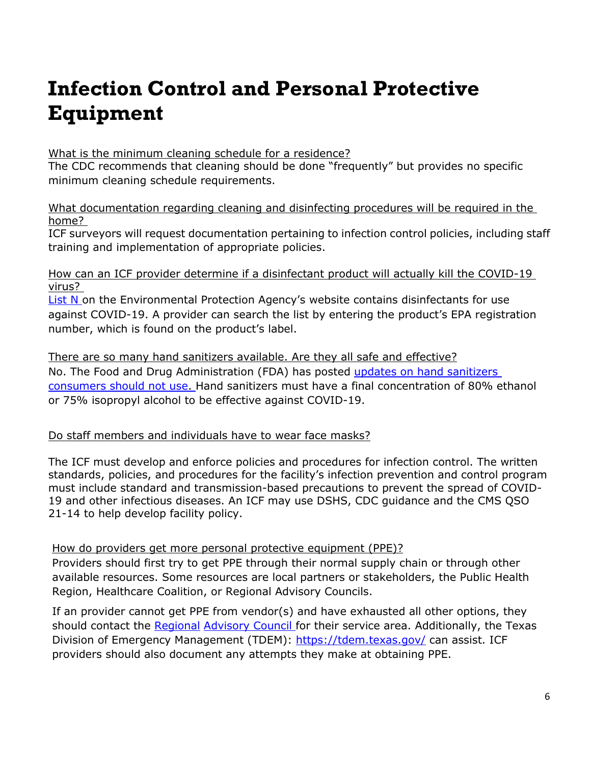# <span id="page-5-0"></span>**Infection Control and Personal Protective Equipment**

#### <span id="page-5-1"></span>What is the minimum cleaning schedule for a residence?

The CDC recommends that cleaning should be done "frequently" but provides no specific minimum cleaning schedule requirements.

#### <span id="page-5-2"></span>What documentation regarding cleaning and disinfecting procedures will be required in the home?

ICF surveyors will request documentation pertaining to infection control policies, including staff training and implementation of appropriate policies.

<span id="page-5-3"></span>How can an ICF provider determine if a disinfectant product will actually kill the COVID-19 virus?

[List N o](https://www.epa.gov/pesticide-registration/list-n-disinfectants-use-against-sars-cov-2)n the Environmental Protection Agency's website contains disinfectants for use against COVID-19. A provider can search the list by entering the product's EPA registration number, which is found on the product's label.

#### <span id="page-5-4"></span>There are so many hand sanitizers available. Are they all safe and effective? No. The Food and Drug Administration (FDA) has posted updates on hand sanitizers [consumers should not use. H](https://www.fda.gov/drugs/drug-safety-and-availability/fda-updates-hand-sanitizers-consumers-should-not-use)and sanitizers must have a final concentration of 80% ethanol or 75% isopropyl alcohol to be effective against COVID-19.

#### <span id="page-5-5"></span>Do staff members and individuals have to wear face masks?

The ICF must develop and enforce policies and procedures for infection control. The written standards, policies, and procedures for the facility's infection prevention and control program must include standard and transmission-based precautions to prevent the spread of COVID-19 and other infectious diseases. An ICF may use DSHS, CDC guidance and the CMS QSO 21-14 to help develop facility policy.

#### <span id="page-5-6"></span>How do providers get more personal protective equipment (PPE)?

Providers should first try to get PPE through their normal supply chain or through other available resources. Some resources are local partners or stakeholders, the Public Health Region, Healthcare Coalition, or Regional Advisory Councils.

If an provider cannot get PPE from vendor(s) and have exhausted all other options, they should contact the [Regional](https://dshs.texas.gov/emstraumasystems/etrarac.shtm) [Advisory Council f](https://dshs.texas.gov/emstraumasystems/etrarac.shtm)or their service area. Additionally, the Texas Division of Emergency Management (TDEM):<https://tdem.texas.gov/> can assist. ICF providers should also document any attempts they make at obtaining PPE.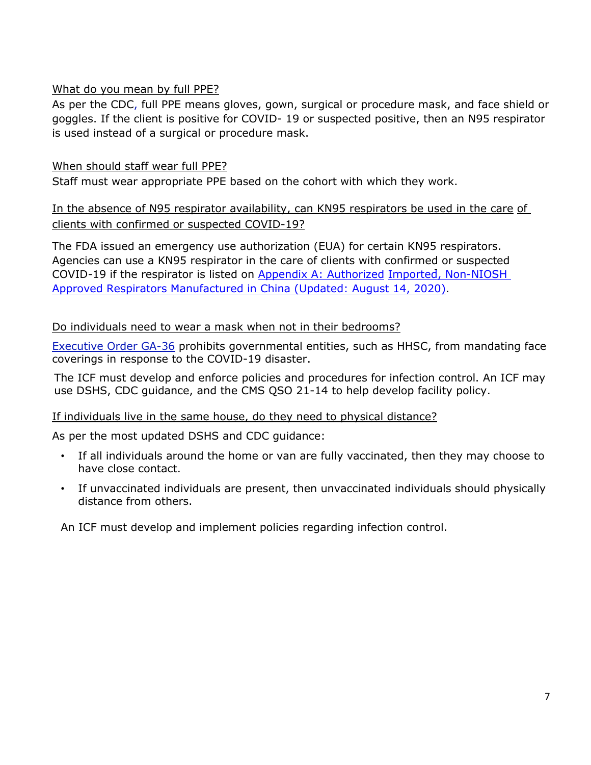#### <span id="page-6-0"></span>What do you mean by full PPE?

As per the CDC, full PPE means gloves, gown, surgical or procedure mask, and face shield or goggles. If the client is positive for COVID- 19 or suspected positive, then an N95 respirator is used instead of a surgical or procedure mask.

#### <span id="page-6-1"></span>When should staff wear full PPE?

Staff must wear appropriate PPE based on the cohort with which they work.

#### <span id="page-6-2"></span>In the absence of N95 respirator availability, can KN95 respirators be used in the care of clients with confirmed or suspected COVID-19?

The FDA issued an emergency use authorization (EUA) for certain KN95 respirators. Agencies can use a KN95 respirator in the care of clients with confirmed or suspected COVID-19 if the respirator is listed on [Appendix A: Authorized](https://www.fda.gov/medical-devices/coronavirus-disease-2019-covid-19-emergency-use-authorizations-medical-devices/personal-protective-equipment-euas#appendixa) [Imported, Non-NIOSH](https://www.fda.gov/medical-devices/coronavirus-disease-2019-covid-19-emergency-use-authorizations-medical-devices/personal-protective-equipment-euas#appendixa)  [Approved Respirators Manufactured in China \(Updated: August 14, 2020\).](https://www.fda.gov/medical-devices/coronavirus-disease-2019-covid-19-emergency-use-authorizations-medical-devices/personal-protective-equipment-euas#appendixa)

#### <span id="page-6-3"></span>Do individuals need to wear a mask when not in their bedrooms?

[Executive Order GA-36](https://gov.texas.gov/uploads/files/press/EO-GA-36_prohibition_on_mandating_face_coverings_response_to_COVID-19_disaster_IMAGE_05-18-2021.pdf) prohibits governmental entities, such as HHSC, from mandating face coverings in response to the COVID-19 disaster.

The ICF must develop and enforce policies and procedures for infection control. An ICF may use DSHS, CDC guidance, and the CMS QSO 21-14 to help develop facility policy.

#### <span id="page-6-4"></span>If individuals live in the same house, do they need to physical distance?

As per the most updated DSHS and CDC guidance:

- If all individuals around the home or van are fully vaccinated, then they may choose to have close contact.
- If unvaccinated individuals are present, then unvaccinated individuals should physically distance from others.

An ICF must develop and implement policies regarding infection control.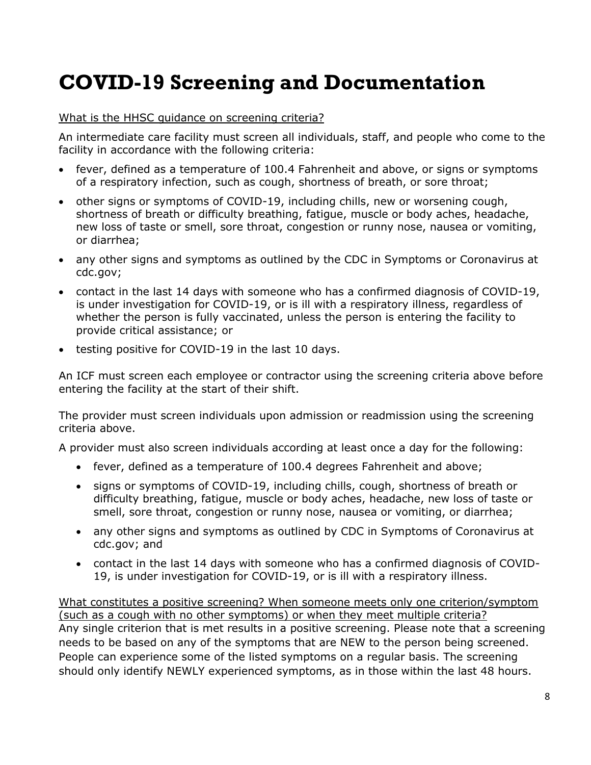### <span id="page-7-0"></span>**COVID-19 Screening and Documentation**

#### <span id="page-7-1"></span>What is the HHSC guidance on screening criteria?

An intermediate care facility must screen all individuals, staff, and people who come to the facility in accordance with the following criteria:

- fever, defined as a temperature of 100.4 Fahrenheit and above, or signs or symptoms of a respiratory infection, such as cough, shortness of breath, or sore throat;
- other signs or symptoms of COVID-19, including chills, new or worsening cough, shortness of breath or difficulty breathing, fatigue, muscle or body aches, headache, new loss of taste or smell, sore throat, congestion or runny nose, nausea or vomiting, or diarrhea;
- any other signs and symptoms as outlined by the CDC in Symptoms or Coronavirus at cdc.gov;
- contact in the last 14 days with someone who has a confirmed diagnosis of COVID-19, is under investigation for COVID-19, or is ill with a respiratory illness, regardless of whether the person is fully vaccinated, unless the person is entering the facility to provide critical assistance; or
- testing positive for COVID-19 in the last 10 days.

An ICF must screen each employee or contractor using the screening criteria above before entering the facility at the start of their shift.

The provider must screen individuals upon admission or readmission using the screening criteria above.

A provider must also screen individuals according at least once a day for the following:

- fever, defined as a temperature of 100.4 degrees Fahrenheit and above;
- signs or symptoms of COVID-19, including chills, cough, shortness of breath or difficulty breathing, fatigue, muscle or body aches, headache, new loss of taste or smell, sore throat, congestion or runny nose, nausea or vomiting, or diarrhea;
- any other signs and symptoms as outlined by CDC in Symptoms of Coronavirus at cdc.gov; and
- contact in the last 14 days with someone who has a confirmed diagnosis of COVID-19, is under investigation for COVID-19, or is ill with a respiratory illness.

<span id="page-7-2"></span>What constitutes a positive screening? When someone meets only one criterion/symptom (such as a cough with no other symptoms) or when they meet multiple criteria? Any single criterion that is met results in a positive screening. Please note that a screening needs to be based on any of the symptoms that are NEW to the person being screened. People can experience some of the listed symptoms on a regular basis. The screening should only identify NEWLY experienced symptoms, as in those within the last 48 hours.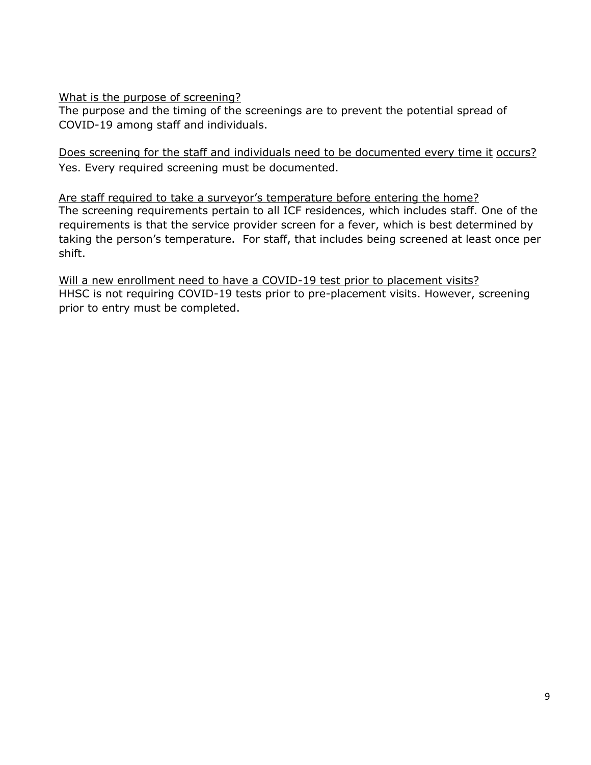<span id="page-8-0"></span>What is the purpose of screening?

The purpose and the timing of the screenings are to prevent the potential spread of COVID-19 among staff and individuals.

<span id="page-8-1"></span>Does screening for the staff and individuals need to be documented every time it occurs? Yes. Every required screening must be documented.

<span id="page-8-2"></span>Are staff required to take a surveyor's temperature before entering the home? The screening requirements pertain to all ICF residences, which includes staff. One of the requirements is that the service provider screen for a fever, which is best determined by taking the person's temperature. For staff, that includes being screened at least once per shift.

<span id="page-8-3"></span>Will a new enrollment need to have a COVID-19 test prior to placement visits? HHSC is not requiring COVID-19 tests prior to pre-placement visits. However, screening prior to entry must be completed.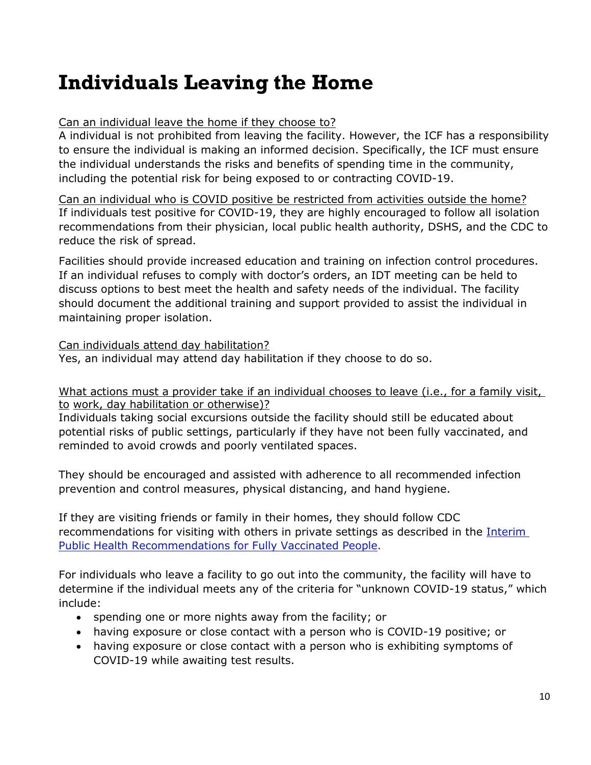### <span id="page-9-0"></span>**Individuals Leaving the Home**

#### <span id="page-9-1"></span>Can an individual leave the home if they choose to?

A individual is not prohibited from leaving the facility. However, the ICF has a responsibility to ensure the individual is making an informed decision. Specifically, the ICF must ensure the individual understands the risks and benefits of spending time in the community, including the potential risk for being exposed to or contracting COVID-19.

<span id="page-9-2"></span>Can an individual who is COVID positive be restricted from activities outside the home? If individuals test positive for COVID-19, they are highly encouraged to follow all isolation recommendations from their physician, local public health authority, DSHS, and the CDC to reduce the risk of spread.

Facilities should provide increased education and training on infection control procedures. If an individual refuses to comply with doctor's orders, an IDT meeting can be held to discuss options to best meet the health and safety needs of the individual. The facility should document the additional training and support provided to assist the individual in maintaining proper isolation.

<span id="page-9-3"></span>Can individuals attend day habilitation?

Yes, an individual may attend day habilitation if they choose to do so.

#### <span id="page-9-4"></span>What actions must a provider take if an individual chooses to leave (i.e., for a family visit, to work, day habilitation or otherwise)?

Individuals taking social excursions outside the facility should still be educated about potential risks of public settings, particularly if they have not been fully vaccinated, and reminded to avoid crowds and poorly ventilated spaces.

They should be encouraged and assisted with adherence to all recommended infection prevention and control measures, physical distancing, and hand hygiene.

If they are visiting friends or family in their homes, they should follow CDC recommendations for visiting with others in private settings as described in the [Interim](https://www.cdc.gov/coronavirus/2019-ncov/vaccines/fully-vaccinated-guidance.html)  [Public Health Recommendations for Fully Vaccinated People.](https://www.cdc.gov/coronavirus/2019-ncov/vaccines/fully-vaccinated-guidance.html)

For individuals who leave a facility to go out into the community, the facility will have to determine if the individual meets any of the criteria for "unknown COVID-19 status," which include:

- spending one or more nights away from the facility; or
- having exposure or close contact with a person who is COVID-19 positive; or
- having exposure or close contact with a person who is exhibiting symptoms of COVID-19 while awaiting test results.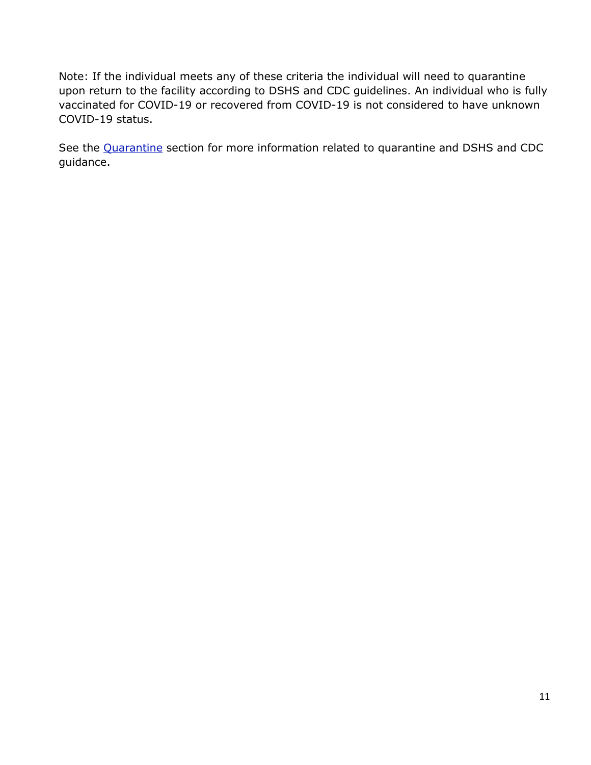Note: If the individual meets any of these criteria the individual will need to quarantine upon return to the facility according to DSHS and CDC guidelines. An individual who is fully vaccinated for COVID-19 or recovered from COVID-19 is not considered to have unknown COVID-19 status.

See the [Quarantine](#page-12-0) section for more information related to quarantine and DSHS and CDC guidance.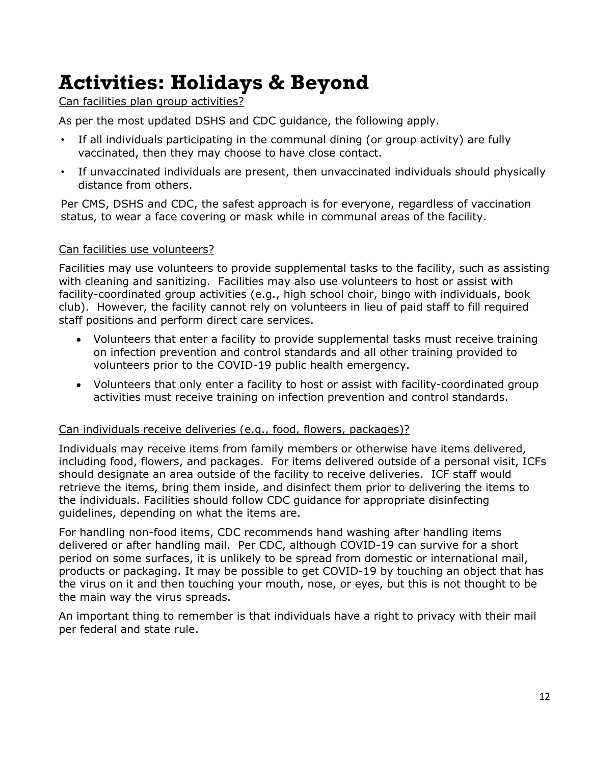### <span id="page-11-0"></span>**Activities: Holidays & Beyond**

<span id="page-11-1"></span>Can facilities plan group activities?

As per the most updated DSHS and CDC guidance, the following apply.

- If all individuals participating in the communal dining (or group activity) are fully vaccinated, then they may choose to have close contact.
- If unvaccinated individuals are present, then unvaccinated individuals should physically distance from others.

Per CMS, DSHS and CDC, the safest approach is for everyone, regardless of vaccination status, to wear a face covering or mask while in communal areas of the facility.

#### <span id="page-11-2"></span>Can facilities use volunteers?

Facilities may use volunteers to provide supplemental tasks to the facility, such as assisting with cleaning and sanitizing. Facilities may also use volunteers to host or assist with facility-coordinated group activities (e.g., high school choir, bingo with individuals, book club). However, the facility cannot rely on volunteers in lieu of paid staff to fill required staff positions and perform direct care services.

- Volunteers that enter a facility to provide supplemental tasks must receive training on infection prevention and control standards and all other training provided to volunteers prior to the COVID-19 public health emergency.
- Volunteers that only enter a facility to host or assist with facility-coordinated group activities must receive training on infection prevention and control standards.

#### <span id="page-11-3"></span>Can individuals receive deliveries (e.g., food, flowers, packages)?

Individuals may receive items from family members or otherwise have items delivered, including food, flowers, and packages. For items delivered outside of a personal visit, ICFs should designate an area outside of the facility to receive deliveries. ICF staff would retrieve the items, bring them inside, and disinfect them prior to delivering the items to the individuals. Facilities should follow CDC guidance for appropriate disinfecting guidelines, depending on what the items are.

For handling non-food items, CDC recommends hand washing after handling items delivered or after handling mail. Per CDC, although COVID-19 can survive for a short period on some surfaces, it is unlikely to be spread from domestic or international mail, products or packaging. It may be possible to get COVID-19 by touching an object that has the virus on it and then touching your mouth, nose, or eyes, but this is not thought to be the main way the virus spreads.

An important thing to remember is that individuals have a right to privacy with their mail per federal and state rule.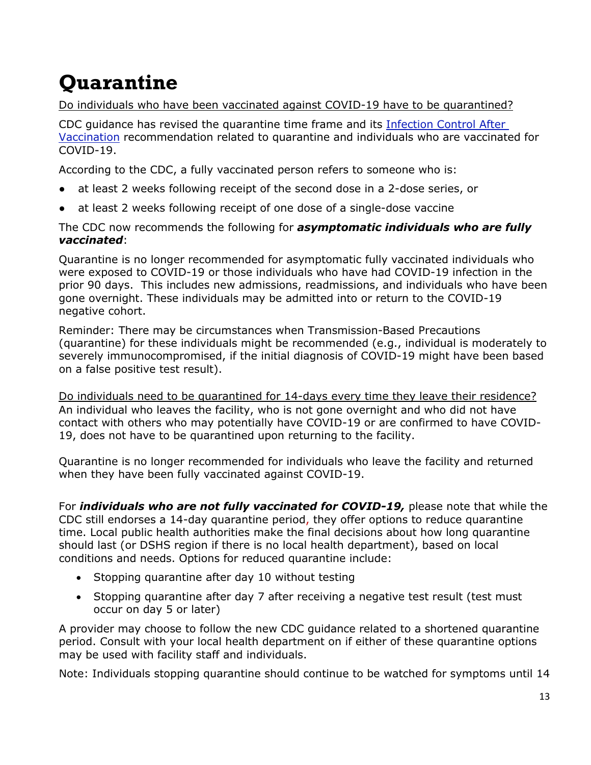# <span id="page-12-0"></span>**Quarantine**

#### <span id="page-12-1"></span>Do individuals who have been vaccinated against COVID-19 have to be quarantined?

CDC guidance has revised the quarantine time frame and its [Infection Control After](https://www.cdc.gov/coronavirus/2019-ncov/hcp/infection-control-after-vaccination.html)  [Vaccination](https://www.cdc.gov/coronavirus/2019-ncov/hcp/infection-control-after-vaccination.html) recommendation related to quarantine and individuals who are vaccinated for COVID-19.

According to the CDC, a fully vaccinated person refers to someone who is:

- at least 2 weeks following receipt of the second dose in a 2-dose series, or
- at least 2 weeks following receipt of one dose of a single-dose vaccine

The CDC now recommends the following for *asymptomatic individuals who are fully vaccinated*:

Quarantine is no longer recommended for asymptomatic fully vaccinated individuals who were exposed to COVID-19 or those individuals who have had COVID-19 infection in the prior 90 days. This includes new admissions, readmissions, and individuals who have been gone overnight. These individuals may be admitted into or return to the COVID-19 negative cohort.

Reminder: There may be circumstances when Transmission-Based Precautions (quarantine) for these individuals might be recommended (e.g., individual is moderately to severely immunocompromised, if the initial diagnosis of COVID-19 might have been based on a false positive test result).

Do individuals need to be quarantined for 14-days every time they leave their residence? An individual who leaves the facility, who is not gone overnight and who did not have contact with others who may potentially have COVID-19 or are confirmed to have COVID-19, does not have to be quarantined upon returning to the facility.

Quarantine is no longer recommended for individuals who leave the facility and returned when they have been fully vaccinated against COVID-19.

For *individuals who are not fully vaccinated for COVID-19,* please note that while the CDC still endorses a 14-day quarantine period, they offer options to reduce quarantine time. Local public health authorities make the final decisions about how long quarantine should last (or DSHS region if there is no local health department), based on local conditions and needs. Options for reduced quarantine include:

- Stopping quarantine after day 10 without testing
- Stopping quarantine after day 7 after receiving a negative test result (test must occur on day 5 or later)

A provider may choose to follow the new CDC guidance related to a shortened quarantine period. Consult with your local health department on if either of these quarantine options may be used with facility staff and individuals.

Note: Individuals stopping quarantine should continue to be watched for symptoms until 14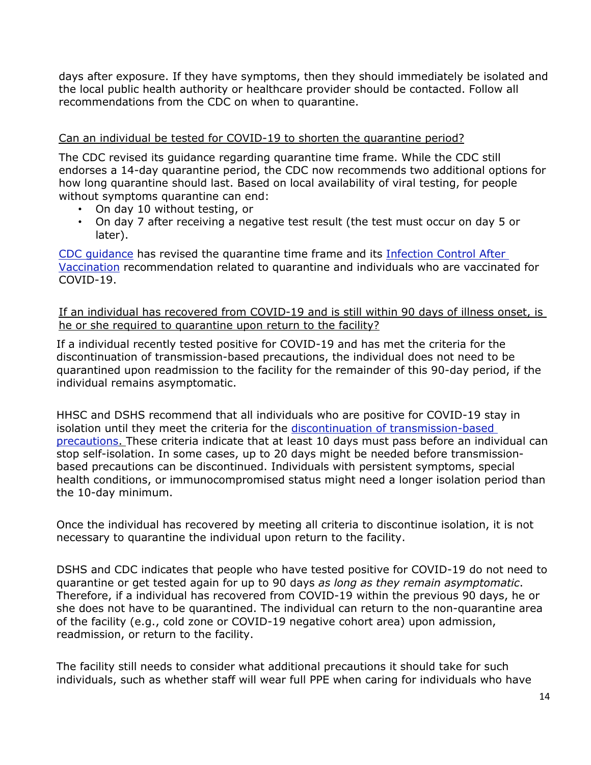days after exposure. If they have symptoms, then they should immediately be isolated and the local public health authority or healthcare provider should be contacted. Follow all recommendations from the CDC on when to quarantine.

#### <span id="page-13-0"></span>Can an individual be tested for COVID-19 to shorten the quarantine period?

The CDC revised its guidance regarding quarantine time frame. While the CDC still endorses a 14-day quarantine period, the CDC now recommends two additional options for how long quarantine should last. Based on local availability of viral testing, for people without symptoms quarantine can end:

- On day 10 without testing, or
- On day 7 after receiving a negative test result (the test must occur on day 5 or later).

[CDC guidance](https://www.cdc.gov/coronavirus/2019-ncov/more/scientific-brief-options-to-reduce-quarantine.htmlhttps:/www.cdc.gov/coronavirus/2019-ncov/more/scientific-brief-options-to-reduce-quarantine.html) has revised the quarantine time frame and its [Infection Control After](https://www.cdc.gov/coronavirus/2019-ncov/hcp/infection-control-after-vaccination.html)  [Vaccination](https://www.cdc.gov/coronavirus/2019-ncov/hcp/infection-control-after-vaccination.html) recommendation related to quarantine and individuals who are vaccinated for COVID-19.

<span id="page-13-1"></span>If an individual has recovered from COVID-19 and is still within 90 days of illness onset, is he or she required to quarantine upon return to the facility?

If a individual recently tested positive for COVID-19 and has met the criteria for the discontinuation of transmission-based precautions, the individual does not need to be quarantined upon readmission to the facility for the remainder of this 90-day period, if the individual remains asymptomatic.

HHSC and DSHS recommend that all individuals who are positive for COVID-19 stay in isolation until they meet the criteria for the [discontinuation of transmission-based](https://www.cdc.gov/coronavirus/2019-ncov/hcp/disposition-hospitalized-patients.html)  [precautions.](https://www.cdc.gov/coronavirus/2019-ncov/hcp/disposition-hospitalized-patients.html) These criteria indicate that at least 10 days must pass before an individual can stop self-isolation. In some cases, up to 20 days might be needed before transmissionbased precautions can be discontinued. Individuals with persistent symptoms, special health conditions, or immunocompromised status might need a longer isolation period than the 10-day minimum.

Once the individual has recovered by meeting all criteria to discontinue isolation, it is not necessary to quarantine the individual upon return to the facility.

DSHS and CDC indicates that people who have tested positive for COVID-19 do not need to quarantine or get tested again for up to 90 days *as long as they remain asymptomatic*. Therefore, if a individual has recovered from COVID-19 within the previous 90 days, he or she does not have to be quarantined. The individual can return to the non-quarantine area of the facility (e.g., cold zone or COVID-19 negative cohort area) upon admission, readmission, or return to the facility.

The facility still needs to consider what additional precautions it should take for such individuals, such as whether staff will wear full PPE when caring for individuals who have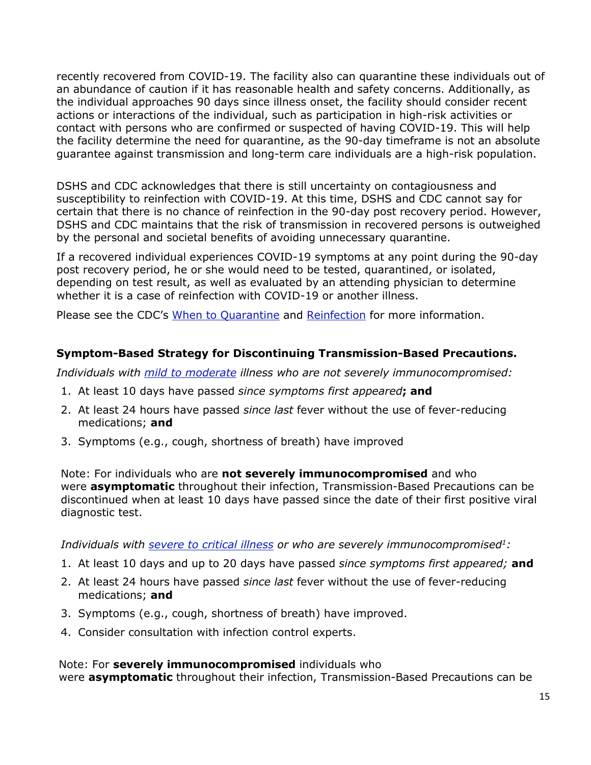recently recovered from COVID-19. The facility also can quarantine these individuals out of an abundance of caution if it has reasonable health and safety concerns. Additionally, as the individual approaches 90 days since illness onset, the facility should consider recent actions or interactions of the individual, such as participation in high-risk activities or contact with persons who are confirmed or suspected of having COVID-19. This will help the facility determine the need for quarantine, as the 90-day timeframe is not an absolute guarantee against transmission and long-term care individuals are a high-risk population.

DSHS and CDC acknowledges that there is still uncertainty on contagiousness and susceptibility to reinfection with COVID-19. At this time, DSHS and CDC cannot say for certain that there is no chance of reinfection in the 90-day post recovery period. However, DSHS and CDC maintains that the risk of transmission in recovered persons is outweighed by the personal and societal benefits of avoiding unnecessary quarantine.

If a recovered individual experiences COVID-19 symptoms at any point during the 90-day post recovery period, he or she would need to be tested, quarantined, or isolated, depending on test result, as well as evaluated by an attending physician to determine whether it is a case of reinfection with COVID-19 or another illness.

Please see the CDC's [When to Quarantine](https://www.cdc.gov/coronavirus/2019-ncov/if-you-are-sick/quarantine.html) and [Reinfection](https://www.cdc.gov/coronavirus/2019-ncov/your-health/reinfection.html#:%7E:text=In%20general%2C%20reinfection%20means%20a,learning%20more%20about%20COVID%2D19.) for more information.

#### **Symptom-Based Strategy for Discontinuing Transmission-Based Precautions.**

*Individuals with [mild to moderate](https://www.cdc.gov/coronavirus/2019-ncov/hcp/disposition-hospitalized-patients.html#definitions) illness who are not severely immunocompromised:*

- 1. At least 10 days have passed *since symptoms first appeared***; and**
- 2. At least 24 hours have passed *since last* fever without the use of fever-reducing medications; **and**
- 3. Symptoms (e.g., cough, shortness of breath) have improved

Note: For individuals who are **not severely immunocompromised** and who were **asymptomatic** throughout their infection, Transmission-Based Precautions can be discontinued when at least 10 days have passed since the date of their first positive viral diagnostic test.

*Individuals with [severe to critical illness](https://www.cdc.gov/coronavirus/2019-ncov/hcp/disposition-hospitalized-patients.html#definitions) or who are severely immunocompromised1:*

- 1. At least 10 days and up to 20 days have passed *since symptoms first appeared;* **and**
- 2. At least 24 hours have passed *since last* fever without the use of fever-reducing medications; **and**
- 3. Symptoms (e.g., cough, shortness of breath) have improved.
- 4. Consider consultation with infection control experts.

Note: For **severely immunocompromised** individuals who were **asymptomatic** throughout their infection, Transmission-Based Precautions can be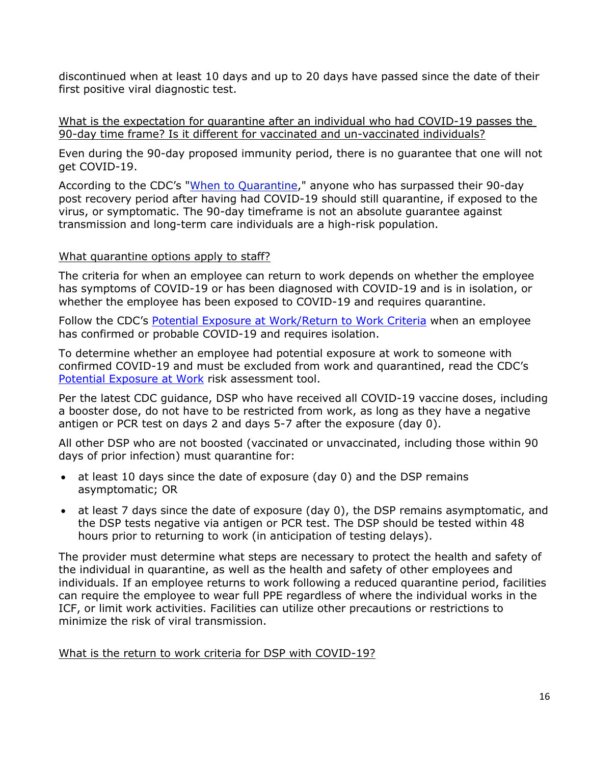discontinued when at least 10 days and up to 20 days have passed since the date of their first positive viral diagnostic test.

<span id="page-15-0"></span>What is the expectation for quarantine after an individual who had COVID-19 passes the 90-day time frame? Is it different for vaccinated and un-vaccinated individuals?

Even during the 90-day proposed immunity period, there is no guarantee that one will not get COVID-19.

According to the CDC's ["When to Quarantine,](https://www.cdc.gov/coronavirus/2019-ncov/if-you-are-sick/quarantine.html)" anyone who has surpassed their 90-day post recovery period after having had COVID-19 should still quarantine, if exposed to the virus, or symptomatic. The 90-day timeframe is not an absolute guarantee against transmission and long-term care individuals are a high-risk population.

#### <span id="page-15-1"></span>What quarantine options apply to staff?

The criteria for when an employee can return to work depends on whether the employee has symptoms of COVID-19 or has been diagnosed with COVID-19 and is in isolation, or whether the employee has been exposed to COVID-19 and requires quarantine.

Follow the CDC's [Potential Exposure at Work/Return to Work Criteria](https://www.cdc.gov/coronavirus/2019-ncov/hcp/return-to-work.html) when an employee has confirmed or probable COVID-19 and requires isolation.

To determine whether an employee had potential exposure at work to someone with confirmed COVID-19 and must be excluded from work and quarantined, read the CDC's [Potential Exposure at Work](https://www.cdc.gov/coronavirus/2019-ncov/hcp/guidance-risk-assesment-hcp.html) risk assessment tool.

Per the latest CDC guidance, DSP who have received all COVID-19 vaccine doses, including a booster dose, do not have to be restricted from work, as long as they have a negative antigen or PCR test on days 2 and days 5-7 after the exposure (day 0).

All other DSP who are not boosted (vaccinated or unvaccinated, including those within 90 days of prior infection) must quarantine for:

- at least 10 days since the date of exposure (day 0) and the DSP remains asymptomatic; OR
- at least 7 days since the date of exposure (day 0), the DSP remains asymptomatic, and the DSP tests negative via antigen or PCR test. The DSP should be tested within 48 hours prior to returning to work (in anticipation of testing delays).

The provider must determine what steps are necessary to protect the health and safety of the individual in quarantine, as well as the health and safety of other employees and individuals. If an employee returns to work following a reduced quarantine period, facilities can require the employee to wear full PPE regardless of where the individual works in the ICF, or limit work activities. Facilities can utilize other precautions or restrictions to minimize the risk of viral transmission.

<span id="page-15-2"></span>What is the return to work criteria for DSP with COVID-19?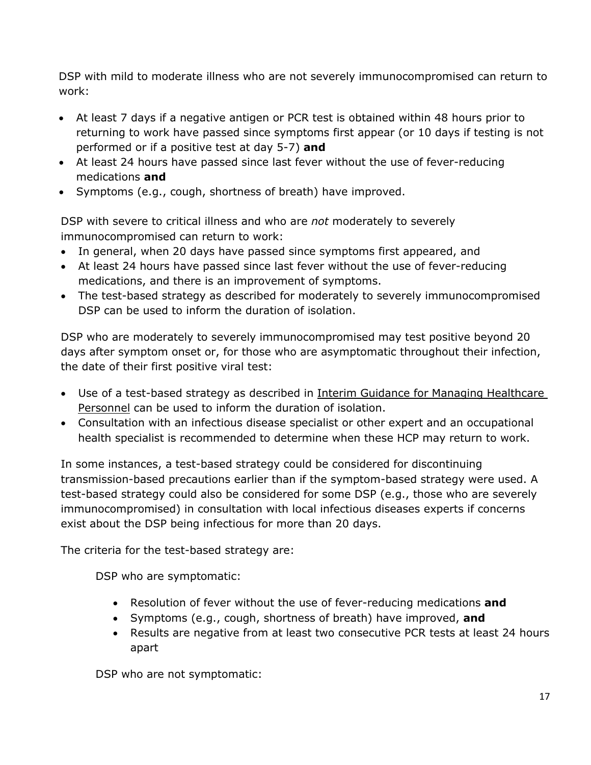DSP with mild to moderate illness who are not severely immunocompromised can return to work:

- At least 7 days if a negative antigen or PCR test is obtained within 48 hours prior to returning to work have passed since symptoms first appear (or 10 days if testing is not performed or if a positive test at day 5-7) **and**
- At least 24 hours have passed since last fever without the use of fever-reducing medications **and**
- Symptoms (e.g., cough, shortness of breath) have improved.

DSP with severe to critical illness and who are *not* moderately to severely immunocompromised can return to work:

- In general, when 20 days have passed since symptoms first appeared, and
- At least 24 hours have passed since last fever without the use of fever-reducing medications, and there is an improvement of symptoms.
- The test-based strategy as described for moderately to severely immunocompromised DSP can be used to inform the duration of isolation.

DSP who are moderately to severely immunocompromised may test positive beyond 20 days after symptom onset or, for those who are asymptomatic throughout their infection, the date of their first positive viral test:

- Use of a test-based strategy as described in Interim Guidance for Managing Healthcare Personnel can be used to inform the duration of isolation.
- Consultation with an infectious disease specialist or other expert and an occupational health specialist is recommended to determine when these HCP may return to work.

In some instances, a test-based strategy could be considered for discontinuing transmission-based precautions earlier than if the symptom-based strategy were used. A test-based strategy could also be considered for some DSP (e.g., those who are severely immunocompromised) in consultation with local infectious diseases experts if concerns exist about the DSP being infectious for more than 20 days.

The criteria for the test-based strategy are:

DSP who are symptomatic:

- Resolution of fever without the use of fever-reducing medications **and**
- Symptoms (e.g., cough, shortness of breath) have improved, **and**
- Results are negative from at least two consecutive PCR tests at least 24 hours apart

DSP who are not symptomatic: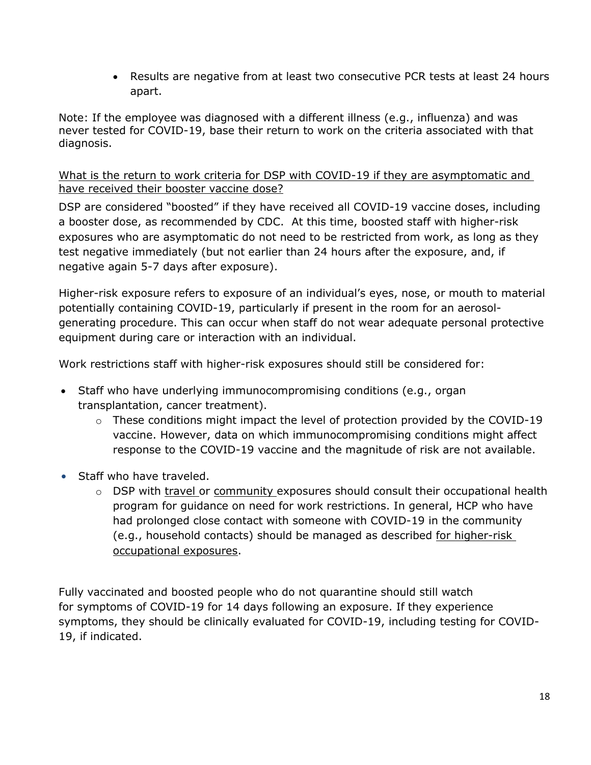• Results are negative from at least two consecutive PCR tests at least 24 hours apart.

Note: If the employee was diagnosed with a different illness (e.g., influenza) and was never tested for COVID-19, base their return to work on the criteria associated with that diagnosis.

<span id="page-17-0"></span>What is the return to work criteria for DSP with COVID-19 if they are asymptomatic and have received their booster vaccine dose?

DSP are considered "boosted" if they have received all COVID-19 vaccine doses, including a booster dose, as recommended by CDC. At this time, boosted staff with higher-risk exposures who are asymptomatic do not need to be restricted from work, as long as they test negative immediately (but not earlier than 24 hours after the exposure, and, if negative again 5-7 days after exposure).

Higher-risk exposure refers to exposure of an individual's eyes, nose, or mouth to material potentially containing COVID-19, particularly if present in the room for an aerosolgenerating procedure. This can occur when staff do not wear adequate personal protective equipment during care or interaction with an individual.

Work restrictions staff with higher-risk exposures should still be considered for:

- Staff who have underlying immunocompromising conditions (e.g., organ transplantation, cancer treatment).
	- $\circ$  These conditions might impact the level of protection provided by the COVID-19 vaccine. However, data on which immunocompromising conditions might affect response to the COVID-19 vaccine and the magnitude of risk are not available.
- Staff who have traveled.
	- o DSP with [travel](https://www.cdc.gov/coronavirus/2019-ncov/php/risk-assessment.html) or [community](https://www.cdc.gov/coronavirus/2019-ncov/php/public-health-recommendations.html) exposures should consult their occupational health program for guidance on need for work restrictions. In general, HCP who have had prolonged close contact with someone with COVID-19 in the community (e.g., household contacts) should be managed as described [for higher-risk](https://www.cdc.gov/coronavirus/2019-ncov/hcp/guidance-risk-assesment-hcp.html?CDC_AA_refVal=https%3A%2F%2Fwww.cdc.gov%2Fcoronavirus%2F2019-ncov%2Fhcp%2Freturn-to-work.html)  [occupational exposures.](https://www.cdc.gov/coronavirus/2019-ncov/hcp/guidance-risk-assesment-hcp.html?CDC_AA_refVal=https%3A%2F%2Fwww.cdc.gov%2Fcoronavirus%2F2019-ncov%2Fhcp%2Freturn-to-work.html)

Fully vaccinated and boosted people who do not quarantine should still watch for [symptoms of COVID-19](https://www.cdc.gov/coronavirus/2019-ncov/symptoms-testing/symptoms.html) for 14 days following an exposure. If they experience symptoms, they should be clinically evaluated for COVID-19, including testing for COVID-19, if indicated.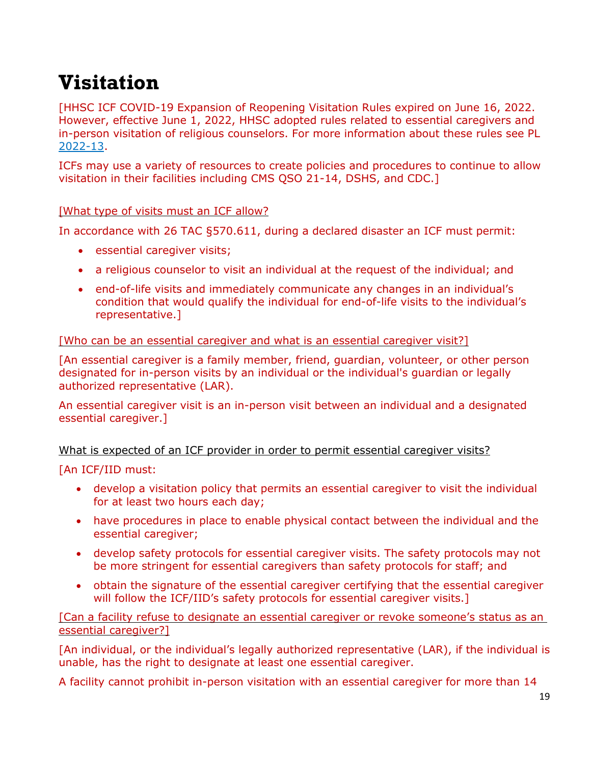### <span id="page-18-0"></span>**Visitation**

[HHSC ICF COVID-19 Expansion of Reopening Visitation Rules expired on June 16, 2022. However, effective June 1, 2022, HHSC adopted rules related to essential caregivers and in-person visitation of religious counselors. For more information about these rules see PL [2022-13.](https://www.hhs.texas.gov/sites/default/files/documents/pl2022-13.pdf)

ICFs may use a variety of resources to create policies and procedures to continue to allow visitation in their facilities including CMS QSO 21-14, DSHS, and CDC.]

#### <span id="page-18-1"></span>[What type of visits must an ICF allow?

In accordance with 26 TAC §570.611, during a declared disaster an ICF must permit:

- essential caregiver visits;
- a religious counselor to visit an individual at the request of the individual; and
- end-of-life visits and immediately communicate any changes in an individual's condition that would qualify the individual for end-of-life visits to the individual's representative.]

#### <span id="page-18-2"></span>[Who can be an essential caregiver and what is an essential caregiver visit?]

[An essential caregiver is a family member, friend, guardian, volunteer, or other person designated for in-person visits by an individual or the individual's guardian or legally authorized representative (LAR).

An essential caregiver visit is an in-person visit between an individual and a designated essential caregiver.]

#### <span id="page-18-3"></span>What is expected of an ICF provider in order to permit essential caregiver visits?

#### [An ICF/IID must:

- develop a visitation policy that permits an essential caregiver to visit the individual for at least two hours each day;
- have procedures in place to enable physical contact between the individual and the essential caregiver;
- develop safety protocols for essential caregiver visits. The safety protocols may not be more stringent for essential caregivers than safety protocols for staff; and
- obtain the signature of the essential caregiver certifying that the essential caregiver will follow the ICF/IID's safety protocols for essential caregiver visits.]

#### [Can a facility refuse to designate an essential caregiver or revoke someone's status as an essential caregiver?]

[An individual, or the individual's legally authorized representative (LAR), if the individual is unable, has the right to designate at least one essential caregiver.

A facility cannot prohibit in-person visitation with an essential caregiver for more than 14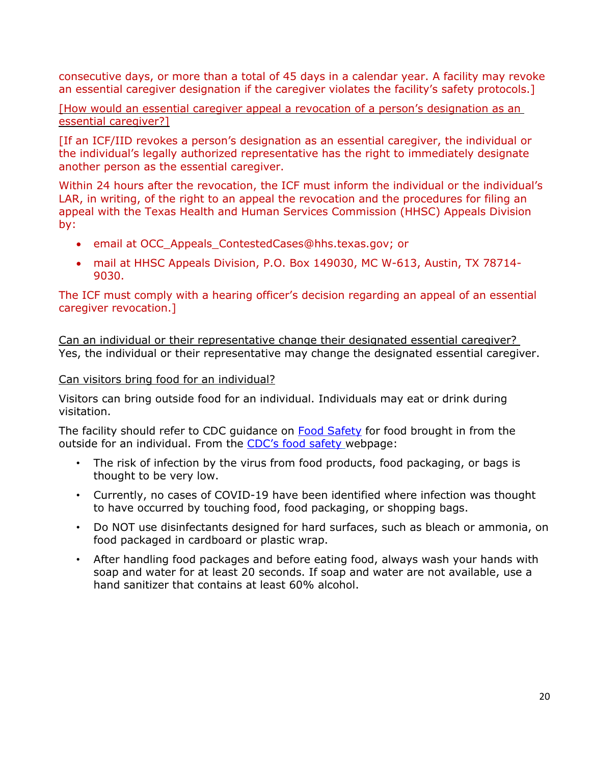consecutive days, or more than a total of 45 days in a calendar year. A facility may revoke an essential caregiver designation if the caregiver violates the facility's safety protocols.]

[How would an essential caregiver appeal a revocation of a person's designation as an essential caregiver?]

[If an ICF/IID revokes a person's designation as an essential caregiver, the individual or the individual's legally authorized representative has the right to immediately designate another person as the essential caregiver.

Within 24 hours after the revocation, the ICF must inform the individual or the individual's LAR, in writing, of the right to an appeal the revocation and the procedures for filing an appeal with the Texas Health and Human Services Commission (HHSC) Appeals Division by:

- email at OCC\_Appeals\_ContestedCases@hhs.texas.gov; or
- mail at HHSC Appeals Division, P.O. Box 149030, MC W-613, Austin, TX 78714- 9030.

The ICF must comply with a hearing officer's decision regarding an appeal of an essential caregiver revocation.]

<span id="page-19-0"></span>Can an individual or their representative change their designated essential caregiver? Yes, the individual or their representative may change the designated essential caregiver.

<span id="page-19-1"></span>Can visitors bring food for an individual?

Visitors can bring outside food for an individual. Individuals may eat or drink during visitation.

The facility should refer to CDC guidance on [Food Safety](https://www.cdc.gov/coronavirus/2019-ncov/daily-life-coping/food-and-COVID-19.html) for food brought in from the outside for an individual. From the [CDC's food safety](https://www.cdc.gov/coronavirus/2019-ncov/daily-life-coping/food-and-COVID-19.html) webpage:

- The risk of infection by the virus from food products, food packaging, or bags is thought to be very low.
- Currently, no cases of COVID-19 have been identified where infection was thought to have occurred by touching food, food packaging, or shopping bags.
- Do NOT use disinfectants designed for hard surfaces, such as bleach or ammonia, on food packaged in cardboard or plastic wrap.
- After handling food packages and before eating food, always wash your hands with soap and water for at least 20 seconds. If soap and water are not available, use a hand sanitizer that contains at least 60% alcohol.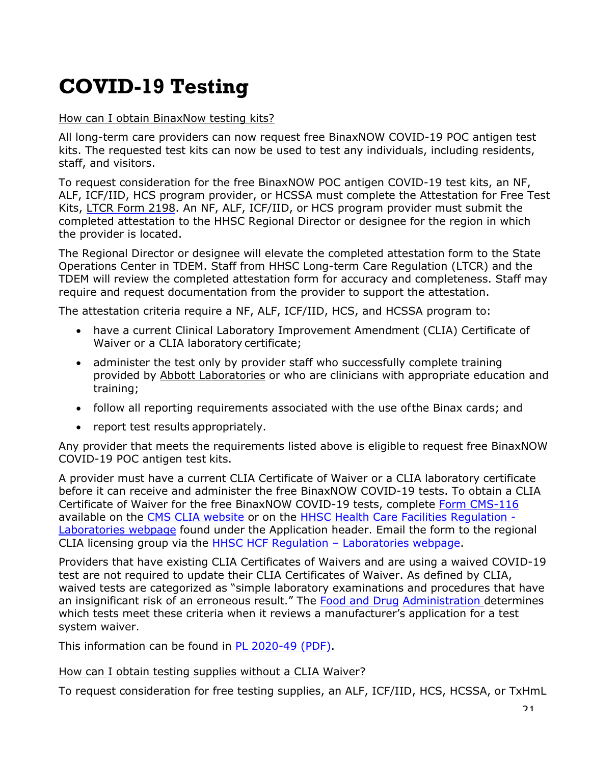# <span id="page-20-0"></span>**COVID-19 Testing**

#### <span id="page-20-1"></span>How can I obtain BinaxNow testing kits?

All long-term care providers can now request free BinaxNOW COVID-19 POC antigen test kits. The requested test kits can now be used to test any individuals, including residents, staff, and visitors.

To request consideration for the free BinaxNOW POC antigen COVID-19 test kits, an NF, ALF, ICF/IID, HCS program provider, or HCSSA must complete the Attestation for Free Test Kits, [LTCR Form 2198.](https://hhs.texas.gov/sites/default/files/documents/services/health/coronavirus-covid-19/attestation-free-covid-19-test-kits.pdf) An NF, ALF, ICF/IID, or HCS program provider must submit the completed attestation to the HHSC Regional Director or designee for the region in which the provider is located.

The Regional Director or designee will elevate the completed attestation form to the State Operations Center in TDEM. Staff from HHSC Long-term Care Regulation (LTCR) and the TDEM will review the completed attestation form for accuracy and completeness. Staff may require and request documentation from the provider to support the attestation.

The attestation criteria require a NF, ALF, ICF/IID, HCS, and HCSSA program to:

- have a current Clinical Laboratory Improvement Amendment (CLIA) Certificate of Waiver or a CLIA laboratory certificate;
- administer the test only by provider staff who successfully complete training provided by [Abbott Laboratories](https://www.globalpointofcare.abbott/en/support/product-installation-training/navica-brand/navica-binaxnow-ag-training.html) or who are clinicians with appropriate education and training;
- follow all reporting requirements associated with the use ofthe Binax cards; and
- report test results appropriately.

Any provider that meets the requirements listed above is eligible to request free BinaxNOW COVID-19 POC antigen test kits.

A provider must have a current CLIA Certificate of Waiver or a CLIA laboratory certificate before it can receive and administer the free BinaxNOW COVID-19 tests. To obtain a CLIA Certificate of Waiver for the free BinaxNOW COVID-19 tests, complete [Form CMS-116](https://www.cms.gov/Medicare/CMS-Forms/CMS-Forms/Downloads/CMS116.pdf) available on the [CMS CLIA website](https://www.cms.gov/Medicare/CMS-Forms/CMS-Forms/CMS-Forms-Items/CMS012169) or on the [HHSC Health Care Facilities](https://hhs.texas.gov/doing-business-hhs/provider-portals/health-care-facilities-regulation/laboratories-clinical-laboratory-improvement-amendments) [Regulation -](https://hhs.texas.gov/doing-business-hhs/provider-portals/health-care-facilities-regulation/laboratories-clinical-laboratory-improvement-amendments) [Laboratories webpage](https://hhs.texas.gov/doing-business-hhs/provider-portals/health-care-facilities-regulation/laboratories-clinical-laboratory-improvement-amendments) found under the Application header. Email the form to the regional CLIA licensing group via the [HHSC HCF Regulation –](https://hhs.texas.gov/sites/default/files/documents/doing-business-with-hhs/provider-portal/facilities-regulation/health-facility-compliance-zones.pdf) Laboratories webpage.

Providers that have existing CLIA Certificates of Waivers and are using a waived COVID-19 test are not required to update their CLIA Certificates of Waiver. As defined by CLIA, waived tests are categorized as "simple laboratory examinations and procedures that have an insignificant risk of an erroneous result." The Food and Druq [Administration d](https://www.fda.gov/medical-devices/coronavirus-disease-2019-covid-19-emergency-use-authorizations-medical-devices/vitro-diagnostics-euas)etermines which tests meet these criteria when it reviews a manufacturer's application for a test system waiver.

This information can be found in [PL 2020-49 \(PDF\).](https://apps.hhs.texas.gov/providers/communications/2020/letters/PL2020-49.pdf)

#### <span id="page-20-2"></span>How can I obtain testing supplies without a CLIA Waiver?

To request consideration for free testing supplies, an ALF, ICF/IID, HCS, HCSSA, or TxHmL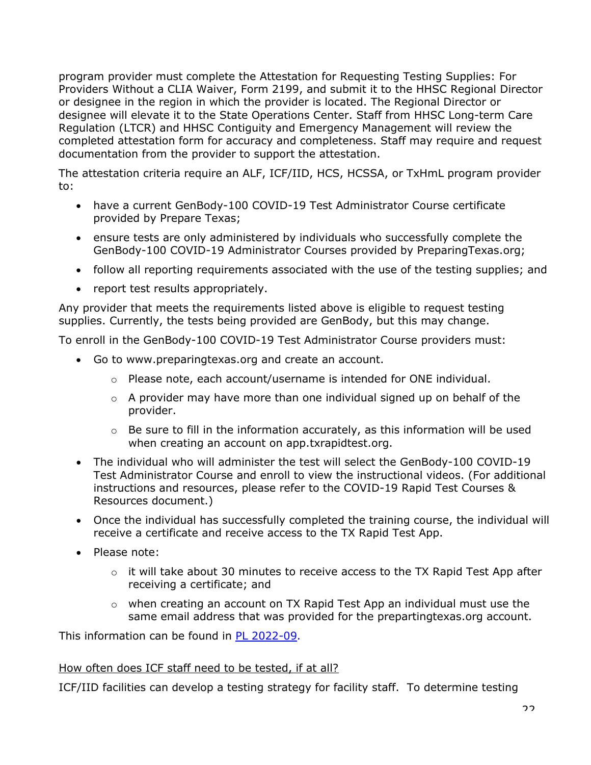program provider must complete the Attestation for Requesting Testing Supplies: For Providers Without a CLIA Waiver, Form 2199, and submit it to the HHSC Regional Director or designee in the region in which the provider is located. The Regional Director or designee will elevate it to the State Operations Center. Staff from HHSC Long-term Care Regulation (LTCR) and HHSC Contiguity and Emergency Management will review the completed attestation form for accuracy and completeness. Staff may require and request documentation from the provider to support the attestation.

The attestation criteria require an ALF, ICF/IID, HCS, HCSSA, or TxHmL program provider to:

- have a current GenBody-100 COVID-19 Test Administrator Course certificate provided by Prepare Texas;
- ensure tests are only administered by individuals who successfully complete the GenBody-100 COVID-19 Administrator Courses provided by PreparingTexas.org;
- follow all reporting requirements associated with the use of the testing supplies; and
- report test results appropriately.

Any provider that meets the requirements listed above is eligible to request testing supplies. Currently, the tests being provided are GenBody, but this may change.

To enroll in the GenBody-100 COVID-19 Test Administrator Course providers must:

- Go to www.preparingtexas.org and create an account.
	- $\circ$  Please note, each account/username is intended for ONE individual.
	- o A provider may have more than one individual signed up on behalf of the provider.
	- o Be sure to fill in the information accurately, as this information will be used when creating an account on app.txrapidtest.org.
- The individual who will administer the test will select the GenBody-100 COVID-19 Test Administrator Course and enroll to view the instructional videos. (For additional instructions and resources, please refer to the COVID-19 Rapid Test Courses & Resources document.)
- Once the individual has successfully completed the training course, the individual will receive a certificate and receive access to the TX Rapid Test App.
- Please note:
	- $\circ$  it will take about 30 minutes to receive access to the TX Rapid Test App after receiving a certificate; and
	- $\circ$  when creating an account on TX Rapid Test App an individual must use the same email address that was provided for the prepartingtexas.org account.

This information can be found in [PL 2022-09.](https://www.hhs.texas.gov/sites/default/files/documents/pl2022-09.pdf)

#### <span id="page-21-0"></span>How often does ICF staff need to be tested, if at all?

ICF/IID facilities can develop a testing strategy for facility staff. To determine testing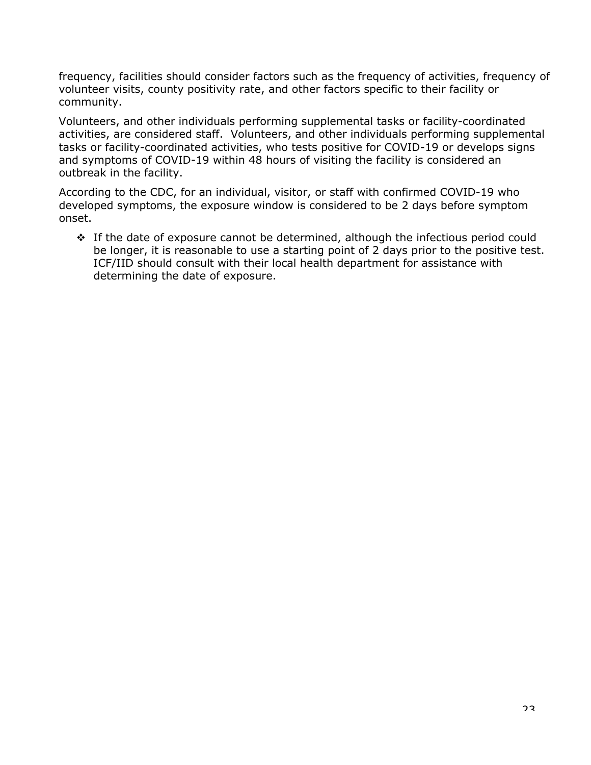frequency, facilities should consider factors such as the frequency of activities, frequency of volunteer visits, county positivity rate, and other factors specific to their facility or community.

Volunteers, and other individuals performing supplemental tasks or facility-coordinated activities, are considered staff. Volunteers, and other individuals performing supplemental tasks or facility-coordinated activities, who tests positive for COVID-19 or develops signs and symptoms of COVID-19 within 48 hours of visiting the facility is considered an outbreak in the facility.

According to the CDC, for an individual, visitor, or staff with confirmed COVID-19 who developed symptoms, the exposure window is considered to be 2 days before symptom onset.

 $\div$  If the date of exposure cannot be determined, although the infectious period could be longer, it is reasonable to use a starting point of 2 days prior to the positive test. ICF/IID should consult with their local health department for assistance with determining the date of exposure.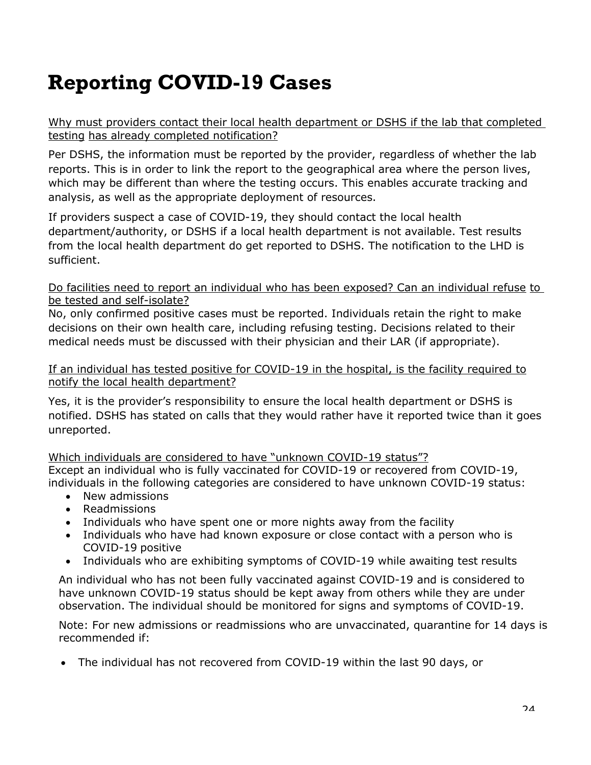# <span id="page-23-0"></span>**Reporting COVID-19 Cases**

<span id="page-23-1"></span>Why must providers contact their local health department or DSHS if the lab that completed testing has already completed notification?

Per DSHS, the information must be reported by the provider, regardless of whether the lab reports. This is in order to link the report to the geographical area where the person lives, which may be different than where the testing occurs. This enables accurate tracking and analysis, as well as the appropriate deployment of resources.

If providers suspect a case of COVID-19, they should contact the local health department/authority, or DSHS if a local health department is not available. Test results from the local health department do get reported to DSHS. The notification to the LHD is sufficient.

<span id="page-23-2"></span>Do facilities need to report an individual who has been exposed? Can an individual refuse to be tested and self-isolate?

No, only confirmed positive cases must be reported. Individuals retain the right to make decisions on their own health care, including refusing testing. Decisions related to their medical needs must be discussed with their physician and their LAR (if appropriate).

<span id="page-23-3"></span>If an individual has tested positive for COVID-19 in the hospital, is the facility required to notify the local health department?

Yes, it is the provider's responsibility to ensure the local health department or DSHS is notified. DSHS has stated on calls that they would rather have it reported twice than it goes unreported.

<span id="page-23-4"></span>Which individuals are considered to have "unknown COVID-19 status"? Except an individual who is fully vaccinated for COVID-19 or recovered from COVID-19, individuals in the following categories are considered to have unknown COVID-19 status:

- New admissions
- Readmissions
- Individuals who have spent one or more nights away from the facility
- Individuals who have had known exposure or close contact with a person who is COVID-19 positive
- Individuals who are exhibiting symptoms of COVID-19 while awaiting test results

An individual who has not been fully vaccinated against COVID-19 and is considered to have unknown COVID-19 status should be kept away from others while they are under observation. The individual should be monitored for signs and symptoms of COVID-19.

Note: For new admissions or readmissions who are unvaccinated, quarantine for 14 days is recommended if:

• The individual has not recovered from COVID-19 within the last 90 days, or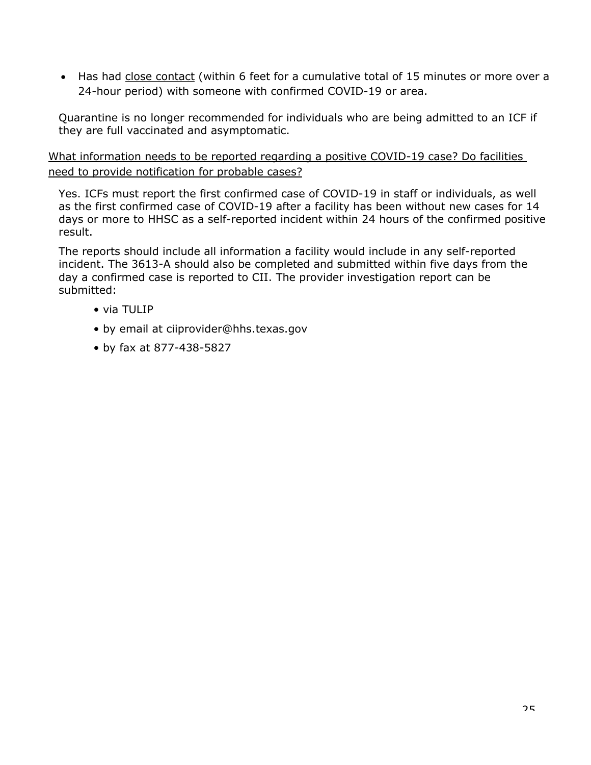• Has had [close contact](https://www.cdc.gov/coronavirus/2019-ncov/php/contact-tracing/contact-tracing-plan/appendix.html) (within 6 feet for a cumulative total of 15 minutes or more over a 24-hour period) with someone with confirmed COVID-19 or area.

Quarantine is no longer recommended for individuals who are being admitted to an ICF if they are full vaccinated and asymptomatic.

<span id="page-24-0"></span>What information needs to be reported regarding a positive COVID-19 case? Do facilities need to provide notification for probable cases?

Yes. ICFs must report the first confirmed case of COVID-19 in staff or individuals, as well as the first confirmed case of COVID-19 after a facility has been without new cases for 14 days or more to HHSC as a self-reported incident within 24 hours of the confirmed positive result.

The reports should include all information a facility would include in any self-reported incident. The 3613-A should also be completed and submitted within five days from the day a confirmed case is reported to CII. The provider investigation report can be submitted:

- via TULIP
- by email at ciiprovider@hhs.texas.gov
- by fax at 877-438-5827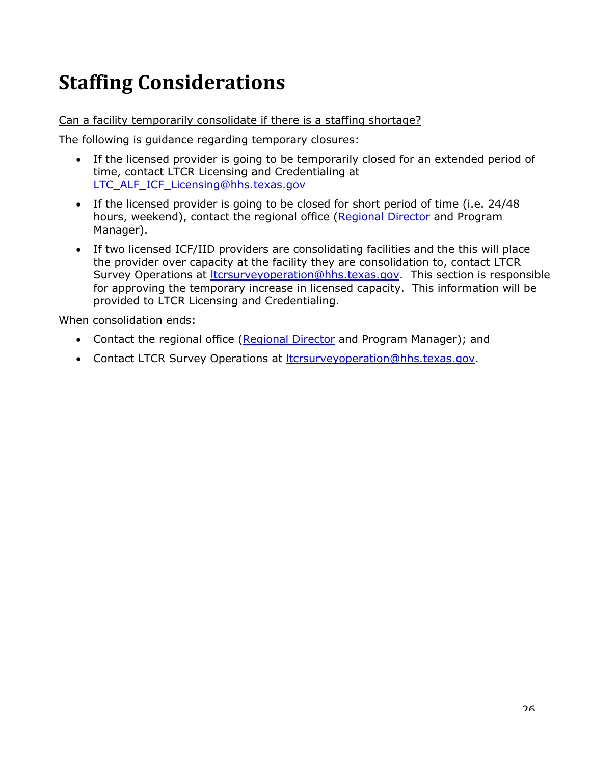# <span id="page-25-0"></span>**Staffing Considerations**

#### <span id="page-25-1"></span>Can a facility temporarily consolidate if there is a staffing shortage?

The following is guidance regarding temporary closures:

- If the licensed provider is going to be temporarily closed for an extended period of time, contact LTCR Licensing and Credentialing at LTC ALF ICF Licensing@hhs.texas.gov
- If the licensed provider is going to be closed for short period of time (i.e. 24/48 hours, weekend), contact the regional office [\(Regional Director](https://www.hhs.texas.gov/about/find-us/long-term-care-regulatory-regional-contact-numbers) and Program Manager).
- If two licensed ICF/IID providers are consolidating facilities and the this will place the provider over capacity at the facility they are consolidation to, contact LTCR Survey Operations at **Itcrsurveyoperation@hhs.texas.gov**. This section is responsible for approving the temporary increase in licensed capacity. This information will be provided to LTCR Licensing and Credentialing.

When consolidation ends:

- Contact the regional office [\(Regional Director](https://www.hhs.texas.gov/about/find-us/long-term-care-regulatory-regional-contact-numbers) and Program Manager); and
- Contact LTCR Survey Operations at [ltcrsurveyoperation@hhs.texas.gov.](mailto:ltcrsurveyoperation@hhs.texas.gov)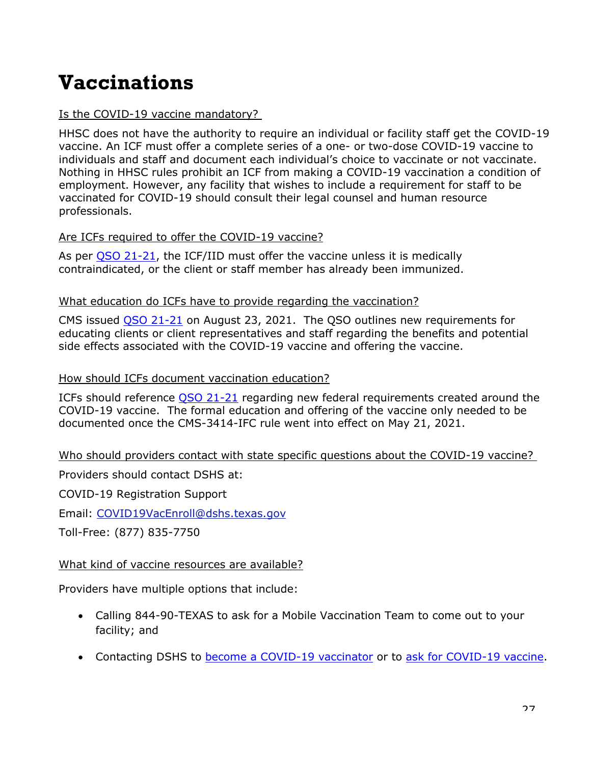### <span id="page-26-0"></span>**Vaccinations**

#### <span id="page-26-1"></span>Is the COVID-19 vaccine mandatory?

HHSC does not have the authority to require an individual or facility staff get the COVID-19 vaccine. An ICF must offer a complete series of a one- or two-dose COVID-19 vaccine to individuals and staff and document each individual's choice to vaccinate or not vaccinate. Nothing in HHSC rules prohibit an ICF from making a COVID-19 vaccination a condition of employment. However, any facility that wishes to include a requirement for staff to be vaccinated for COVID-19 should consult their legal counsel and human resource professionals.

#### <span id="page-26-2"></span>Are ICFs required to offer the COVID-19 vaccine?

As per [QSO 21-21,](https://www.cms.gov/files/document/qso-21-21-icfiid.pdf) the ICF/IID must offer the vaccine unless it is medically contraindicated, or the client or staff member has already been immunized.

#### <span id="page-26-3"></span>What education do ICFs have to provide regarding the vaccination?

CMS issued [QSO 21-21](https://www.cms.gov/files/document/qso-21-21-icfiid.pdf) on August 23, 2021. The QSO outlines new requirements for educating clients or client representatives and staff regarding the benefits and potential side effects associated with the COVID-19 vaccine and offering the vaccine.

#### <span id="page-26-4"></span>How should ICFs document vaccination education?

ICFs should reference [QSO 21-21](https://www.cms.gov/files/document/qso-21-21-icfiid.pdf) regarding new federal requirements created around the COVID-19 vaccine. The formal education and offering of the vaccine only needed to be documented once the CMS-3414-IFC rule went into effect on May 21, 2021.

#### <span id="page-26-5"></span>Who should providers contact with state specific questions about the COVID-19 vaccine?

Providers should contact DSHS at:

COVID-19 Registration Support

Email: [COVID19VacEnroll@dshs.texas.gov](mailto:COVID19VacEnroll@dshs.texas.gov)

Toll-Free: (877) 835-7750

#### <span id="page-26-6"></span>What kind of vaccine resources are available?

Providers have multiple options that include:

- Calling 844-90-TEXAS to ask for a Mobile Vaccination Team to come out to your facility; and
- Contacting DSHS to [become a COVID-19 vaccinator](https://www.dshs.texas.gov/coronavirus/immunize/provider-information.aspx) or to [ask for COVID-19 vaccine.](https://enrolltexasiz.dshs.texas.gov/emrlogin.asp)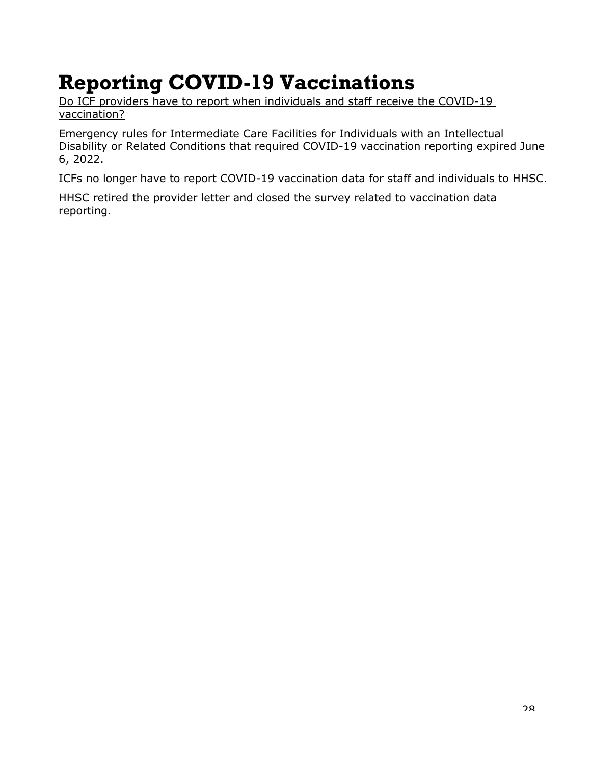### <span id="page-27-0"></span>**Reporting COVID-19 Vaccinations**

<span id="page-27-1"></span>Do ICF providers have to report when individuals and staff receive the COVID-19 vaccination?

Emergency rules for Intermediate Care Facilities for Individuals with an Intellectual Disability or Related Conditions that required COVID-19 vaccination reporting expired June 6, 2022.

ICFs no longer have to report COVID-19 vaccination data for staff and individuals to HHSC.

HHSC retired the provider letter and closed the survey related to vaccination data reporting.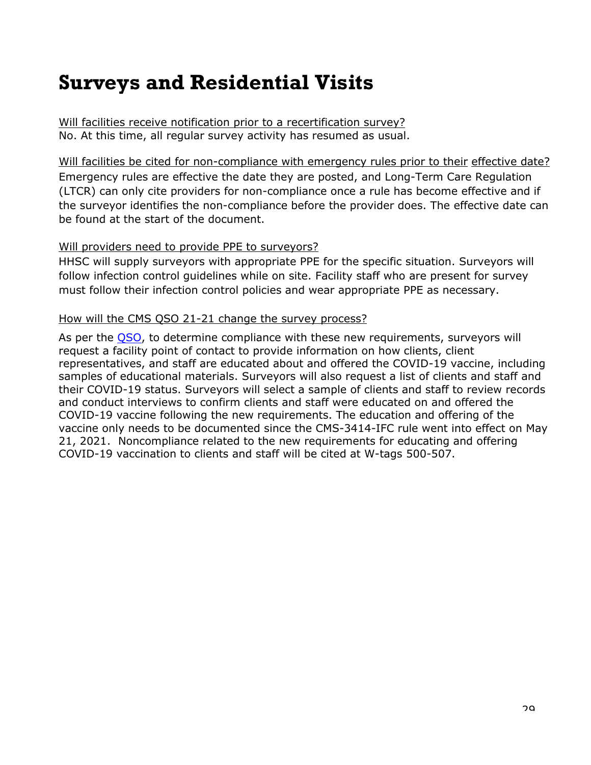### <span id="page-28-0"></span>**Surveys and Residential Visits**

<span id="page-28-1"></span>Will facilities receive notification prior to a recertification survey? No. At this time, all regular survey activity has resumed as usual.

<span id="page-28-2"></span>Will facilities be cited for non-compliance with emergency rules prior to their effective date? Emergency rules are effective the date they are posted, and Long-Term Care Regulation (LTCR) can only cite providers for non-compliance once a rule has become effective and if the surveyor identifies the non-compliance before the provider does. The effective date can be found at the start of the document.

#### <span id="page-28-3"></span>Will providers need to provide PPE to surveyors?

HHSC will supply surveyors with appropriate PPE for the specific situation. Surveyors will follow infection control guidelines while on site. Facility staff who are present for survey must follow their infection control policies and wear appropriate PPE as necessary.

#### <span id="page-28-4"></span>How will the CMS QSO 21-21 change the survey process?

As per the [QSO,](https://www.cms.gov/files/document/qso-21-21-icfiid.pdf) to determine compliance with these new requirements, surveyors will request a facility point of contact to provide information on how clients, client representatives, and staff are educated about and offered the COVID-19 vaccine, including samples of educational materials. Surveyors will also request a list of clients and staff and their COVID-19 status. Surveyors will select a sample of clients and staff to review records and conduct interviews to confirm clients and staff were educated on and offered the COVID-19 vaccine following the new requirements. The education and offering of the vaccine only needs to be documented since the CMS-3414-IFC rule went into effect on May 21, 2021. Noncompliance related to the new requirements for educating and offering COVID-19 vaccination to clients and staff will be cited at W-tags 500-507.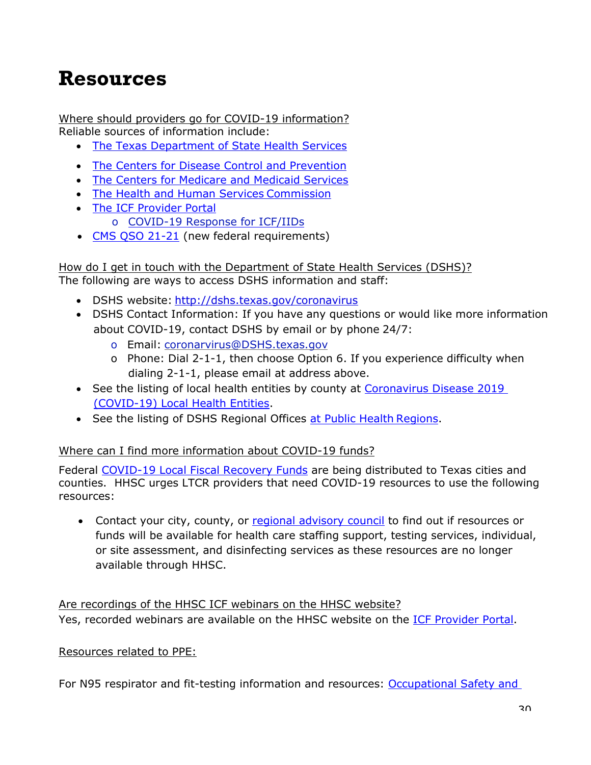### <span id="page-29-0"></span>**Resources**

<span id="page-29-1"></span>Where should providers go for COVID-19 information? Reliable sources of information include:

- [The Texas Department of State Health Services](https://dshs.texas.gov/coronavirus/)
- [The Centers for Disease Control and Prevention](https://www.cdc.gov/coronavirus/2019-nCoV/index.html)
- The Centers [for Medicare and Medicaid Services](https://www.cms.gov/About-CMS/Agency-Information/Emergency/EPRO/Current-Emergencies/Current-Emergencies-page)
- [The Health and Human Services](https://hhs.texas.gov/services/health/coronavirus-covid-19) Commission
- [The ICF Provider](https://hhs.texas.gov/doing-business-hhs/provider-portals/long-term-care-providers/intermediate-care-facilities-icfiid) Portal o [COVID-19 Response for ICF/IIDs](https://hhs.texas.gov/sites/default/files/documents/services/health/coronavirus-covid-19/covid-icf-iid-response-plan.pdf)
- [CMS QSO 21-21](https://www.cms.gov/files/document/qso-21-21-icfiid.pdf) (new federal requirements)

<span id="page-29-2"></span>How do I get in touch with the Department of State Health Services (DSHS)? The following are ways to access DSHS information and staff:

- DSHS website: <http://dshs.texas.gov/coronavirus>
- DSHS Contact Information: If you have any questions or would like more information about COVID-19, contact DSHS by email or by phone 24/7:
	- o Email: [coronarvirus@DSHS.texas.gov](mailto:coronarvirus@DSHS.texas.gov)
	- o Phone: Dial 2-1-1, then choose Option 6. If you experience difficulty when dialing 2-1-1, please email at address above.
- See the listing of local health entities by county at [Coronavirus Disease 2019](https://www.dshs.state.tx.us/regions/2019-nCoV-Local-Health-Entities/)  [\(COVID-19\) Local Health](https://www.dshs.state.tx.us/regions/2019-nCoV-Local-Health-Entities/) [Entities.](https://www.dshs.state.tx.us/regions/2019-nCoV-Local-Health-Entities/)
- See the listing of DSHS Regional Offices [at Public Health](https://www.dshs.texas.gov/regions/default.shtm) Regions.

#### <span id="page-29-3"></span>Where can I find more information about COVID-19 funds?

Federal [COVID-19 Local Fiscal Recovery Funds](https://home.treasury.gov/policy-issues/coronavirus/assistance-for-state-local-and-tribal-governments/state-and-local-fiscal-recovery-funds) are being distributed to Texas cities and counties. HHSC urges LTCR providers that need COVID-19 resources to use the following resources:

• Contact your city, county, or [regional advisory council](https://www.dshs.texas.gov/emstraumasystems/etrarac.shtm) to find out if resources or funds will be available for health care staffing support, testing services, individual, or site assessment, and disinfecting services as these resources are no longer available through HHSC.

<span id="page-29-4"></span>Are recordings of the HHSC ICF webinars on the HHSC website? Yes, recorded webinars are available on the HHSC website on the [ICF Provider Portal.](https://hhs.texas.gov/doing-business-hhs/provider-portals/long-term-care-providers/intermediate-care-facilities-icfiid)

#### <span id="page-29-5"></span>Resources related to PPE:

For N95 respirator and fit-testing information and resources: Occupational Safety and